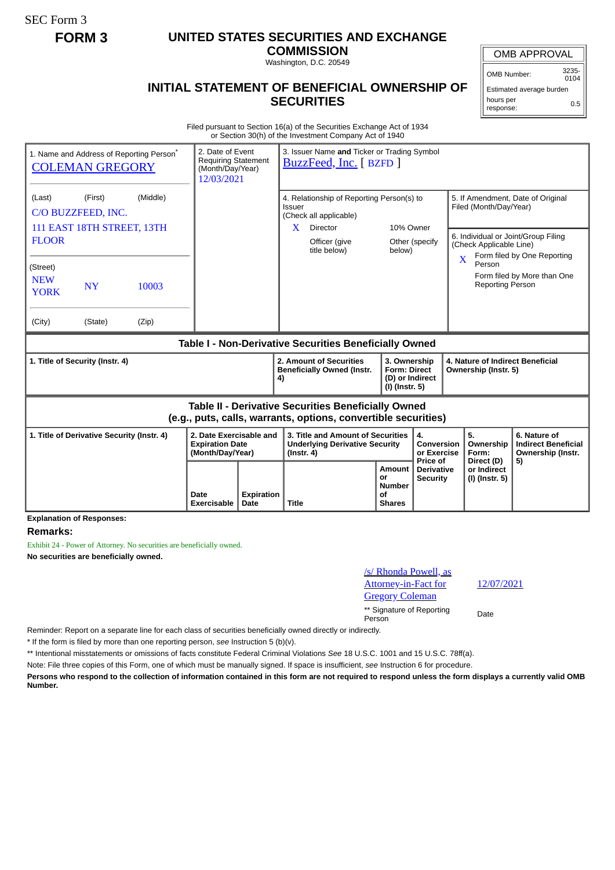SEC Form 3

## **FORM 3 UNITED STATES SECURITIES AND EXCHANGE**

**COMMISSION** Washington, D.C. 20549

## **INITIAL STATEMENT OF BENEFICIAL OWNERSHIP OF SECURITIES**

OMB APPROVAL

OMB Number: 3235-  $0104$ 

Estimated average burden hours per response: 0.5

Filed pursuant to Section 16(a) of the Securities Exchange Act of 1934 or Section 30(h) of the Investment Company Act of 1940

|                                                                                                                              | 1. Name and Address of Reporting Person <sup>®</sup><br><b>COLEMAN GREGORY</b> | 2. Date of Event<br><b>Requiring Statement</b><br>(Month/Day/Year)<br>12/03/2021 |                                                                       | 3. Issuer Name and Ticker or Trading Symbol<br>BuzzFeed, Inc. [ BZFD ] |                                                                                                |                                                                                           |                                                                          |                                             |                                                                                                    |                                        |                                                                       |
|------------------------------------------------------------------------------------------------------------------------------|--------------------------------------------------------------------------------|----------------------------------------------------------------------------------|-----------------------------------------------------------------------|------------------------------------------------------------------------|------------------------------------------------------------------------------------------------|-------------------------------------------------------------------------------------------|--------------------------------------------------------------------------|---------------------------------------------|----------------------------------------------------------------------------------------------------|----------------------------------------|-----------------------------------------------------------------------|
| (Last)                                                                                                                       | (Middle)<br>(First)<br>C/O BUZZFEED, INC.                                      |                                                                                  |                                                                       |                                                                        | 4. Relationship of Reporting Person(s) to<br><b>Issuer</b><br>(Check all applicable)           |                                                                                           |                                                                          |                                             | 5. If Amendment, Date of Original<br>Filed (Month/Day/Year)                                        |                                        |                                                                       |
| 111 EAST 18TH STREET, 13TH<br><b>FLOOR</b>                                                                                   |                                                                                |                                                                                  |                                                                       |                                                                        | X.                                                                                             | 10% Owner<br><b>Director</b><br>Officer (give<br>Other (specify<br>title below)<br>below) |                                                                          |                                             | 6. Individual or Joint/Group Filing<br>(Check Applicable Line)<br>Form filed by One Reporting<br>X |                                        |                                                                       |
| (Street)<br><b>NEW</b><br><b>YORK</b>                                                                                        | <b>NY</b>                                                                      | 10003                                                                            |                                                                       |                                                                        |                                                                                                |                                                                                           |                                                                          |                                             |                                                                                                    | Person<br><b>Reporting Person</b>      | Form filed by More than One                                           |
| (City)                                                                                                                       | (State)                                                                        | (Zip)                                                                            |                                                                       |                                                                        |                                                                                                |                                                                                           |                                                                          |                                             |                                                                                                    |                                        |                                                                       |
| Table I - Non-Derivative Securities Beneficially Owned                                                                       |                                                                                |                                                                                  |                                                                       |                                                                        |                                                                                                |                                                                                           |                                                                          |                                             |                                                                                                    |                                        |                                                                       |
| 1. Title of Security (Instr. 4)                                                                                              |                                                                                |                                                                                  |                                                                       |                                                                        | 4)                                                                                             | 2. Amount of Securities<br><b>Beneficially Owned (Instr.</b>                              | 3. Ownership<br><b>Form: Direct</b><br>(D) or Indirect<br>(I) (Instr. 5) |                                             | 4. Nature of Indirect Beneficial<br>Ownership (Instr. 5)                                           |                                        |                                                                       |
| <b>Table II - Derivative Securities Beneficially Owned</b><br>(e.g., puts, calls, warrants, options, convertible securities) |                                                                                |                                                                                  |                                                                       |                                                                        |                                                                                                |                                                                                           |                                                                          |                                             |                                                                                                    |                                        |                                                                       |
| 1. Title of Derivative Security (Instr. 4)                                                                                   |                                                                                |                                                                                  | 2. Date Exercisable and<br><b>Expiration Date</b><br>(Month/Day/Year) |                                                                        | 3. Title and Amount of Securities<br><b>Underlying Derivative Security</b><br>$($ lnstr. 4 $)$ |                                                                                           |                                                                          | 4.<br>Conversion<br>or Exercise<br>Price of |                                                                                                    | 5.<br>Ownership<br>Form:<br>Direct (D) | 6. Nature of<br><b>Indirect Beneficial</b><br>Ownership (Instr.<br>5) |
|                                                                                                                              |                                                                                | Date<br><b>Exercisable</b>                                                       | <b>Expiration</b><br>Date                                             | <b>Title</b>                                                           | Amount<br>or<br><b>Number</b><br>οf<br><b>Shares</b>                                           |                                                                                           | <b>Derivative</b><br><b>Security</b>                                     | or Indirect<br>(I) (Instr. 5)               |                                                                                                    |                                        |                                                                       |

**Explanation of Responses:**

## **Remarks:**

Exhibit 24 - Power of Attorney. No securities are beneficially owned. **No securities are beneficially owned.**

| <u>/s/ Rhonda Powell, as</u> |
|------------------------------|
| <b>Attorney-in-Fact for</b>  |
| <u>Gregory Coleman</u>       |

\*\* Signature of Reporting Person Date

Reminder: Report on a separate line for each class of securities beneficially owned directly or indirectly.

\* If the form is filed by more than one reporting person, *see* Instruction 5 (b)(v).

\*\* Intentional misstatements or omissions of facts constitute Federal Criminal Violations *See* 18 U.S.C. 1001 and 15 U.S.C. 78ff(a).

Note: File three copies of this Form, one of which must be manually signed. If space is insufficient, *see* Instruction 6 for procedure.

**Persons who respond to the collection of information contained in this form are not required to respond unless the form displays a currently valid OMB Number.**

12/07/2021